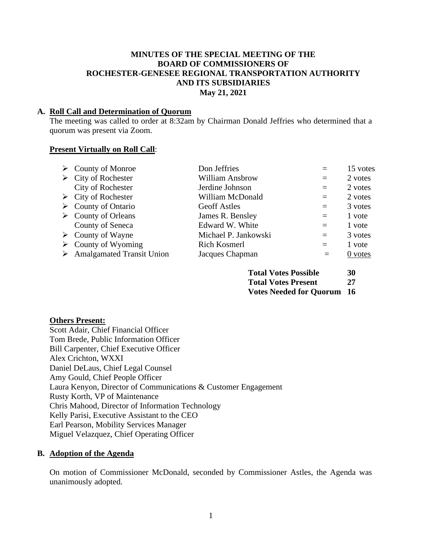#### **MINUTES OF THE SPECIAL MEETING OF THE BOARD OF COMMISSIONERS OF ROCHESTER-GENESEE REGIONAL TRANSPORTATION AUTHORITY AND ITS SUBSIDIARIES May 21, 2021**

#### **A. Roll Call and Determination of Quorum**

The meeting was called to order at 8:32am by Chairman Donald Jeffries who determined that a quorum was present via Zoom.

#### **Present Virtually on Roll Call**:

| $\triangleright$ County of Monroe          | Don Jeffries           | $=$ | 15 votes  |
|--------------------------------------------|------------------------|-----|-----------|
| $\triangleright$ City of Rochester         | <b>William Ansbrow</b> | $=$ | 2 votes   |
| <b>City of Rochester</b>                   | Jerdine Johnson        | $=$ | 2 votes   |
| $\triangleright$ City of Rochester         | William McDonald       | $=$ | 2 votes   |
| $\triangleright$ County of Ontario         | <b>Geoff Astles</b>    | $=$ | 3 votes   |
| $\triangleright$ County of Orleans         | James R. Bensley       | $=$ | 1 vote    |
| County of Seneca                           | Edward W. White        | $=$ | 1 vote    |
| $\triangleright$ County of Wayne           | Michael P. Jankowski   | $=$ | 3 votes   |
| $\triangleright$ County of Wyoming         | Rich Kosmerl           | $=$ | 1 vote    |
| $\triangleright$ Amalgamated Transit Union | Jacques Chapman        | $=$ | $0$ votes |

| <b>Total Votes Possible</b>       | 30 |
|-----------------------------------|----|
| <b>Total Votes Present</b>        | 27 |
| <b>Votes Needed for Quorum 16</b> |    |

#### **Others Present:**

Scott Adair, Chief Financial Officer Tom Brede, Public Information Officer Bill Carpenter, Chief Executive Officer Alex Crichton, WXXI Daniel DeLaus, Chief Legal Counsel Amy Gould, Chief People Officer Laura Kenyon, Director of Communications & Customer Engagement Rusty Korth, VP of Maintenance Chris Mahood, Director of Information Technology Kelly Parisi, Executive Assistant to the CEO Earl Pearson, Mobility Services Manager Miguel Velazquez, Chief Operating Officer

#### **B. Adoption of the Agenda**

On motion of Commissioner McDonald, seconded by Commissioner Astles, the Agenda was unanimously adopted.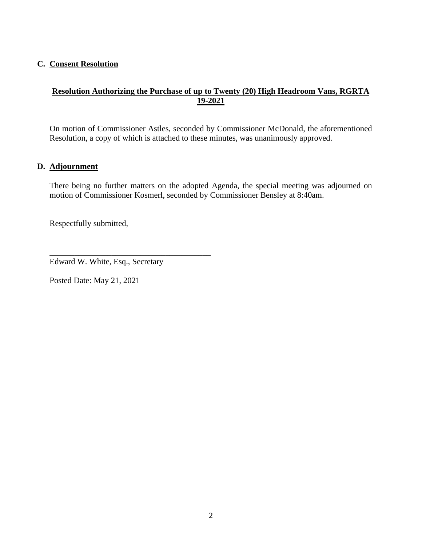#### **C. Consent Resolution**

## **Resolution Authorizing the Purchase of up to Twenty (20) High Headroom Vans, RGRTA 19-2021**

On motion of Commissioner Astles, seconded by Commissioner McDonald, the aforementioned Resolution, a copy of which is attached to these minutes, was unanimously approved.

#### **D. Adjournment**

There being no further matters on the adopted Agenda, the special meeting was adjourned on motion of Commissioner Kosmerl, seconded by Commissioner Bensley at 8:40am.

Respectfully submitted,

Edward W. White, Esq., Secretary

\_\_\_\_\_\_\_\_\_\_\_\_\_\_\_\_\_\_\_\_\_\_\_\_\_\_\_\_\_\_\_\_\_\_\_\_\_\_\_

Posted Date: May 21, 2021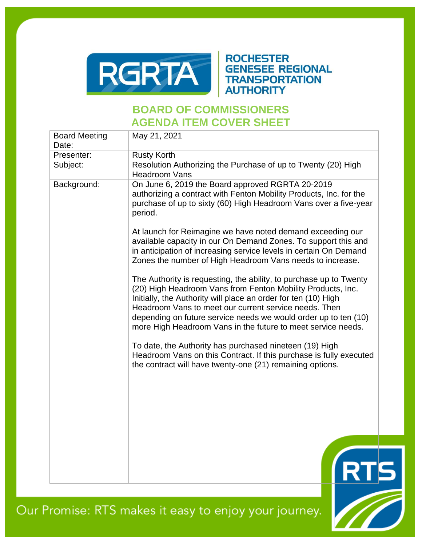

## **ROCHESTER GENESEE REGIONAL TRANSPORTATION AUTHORITY**

# **BOARD OF COMMISSIONERS AGENDA ITEM COVER SHEET**

| <b>Board Meeting</b><br>Date: | May 21, 2021                                                                                                                                                                                                                                                                                                                                                                                    |  |
|-------------------------------|-------------------------------------------------------------------------------------------------------------------------------------------------------------------------------------------------------------------------------------------------------------------------------------------------------------------------------------------------------------------------------------------------|--|
| Presenter:                    | <b>Rusty Korth</b>                                                                                                                                                                                                                                                                                                                                                                              |  |
| Subject:                      | Resolution Authorizing the Purchase of up to Twenty (20) High<br><b>Headroom Vans</b>                                                                                                                                                                                                                                                                                                           |  |
| Background:                   | On June 6, 2019 the Board approved RGRTA 20-2019<br>authorizing a contract with Fenton Mobility Products, Inc. for the<br>purchase of up to sixty (60) High Headroom Vans over a five-year<br>period.                                                                                                                                                                                           |  |
|                               | At launch for Reimagine we have noted demand exceeding our<br>available capacity in our On Demand Zones. To support this and<br>in anticipation of increasing service levels in certain On Demand<br>Zones the number of High Headroom Vans needs to increase.                                                                                                                                  |  |
|                               | The Authority is requesting, the ability, to purchase up to Twenty<br>(20) High Headroom Vans from Fenton Mobility Products, Inc.<br>Initially, the Authority will place an order for ten (10) High<br>Headroom Vans to meet our current service needs. Then<br>depending on future service needs we would order up to ten (10)<br>more High Headroom Vans in the future to meet service needs. |  |
|                               | To date, the Authority has purchased nineteen (19) High<br>Headroom Vans on this Contract. If this purchase is fully executed<br>the contract will have twenty-one (21) remaining options.                                                                                                                                                                                                      |  |
|                               |                                                                                                                                                                                                                                                                                                                                                                                                 |  |
|                               |                                                                                                                                                                                                                                                                                                                                                                                                 |  |
|                               |                                                                                                                                                                                                                                                                                                                                                                                                 |  |

Our Promise: RTS makes it easy to enjoy your journey.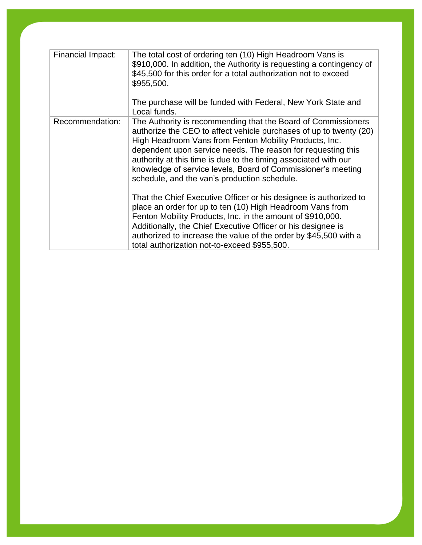| Financial Impact: | The total cost of ordering ten (10) High Headroom Vans is<br>\$910,000. In addition, the Authority is requesting a contingency of<br>\$45,500 for this order for a total authorization not to exceed<br>\$955,500.<br>The purchase will be funded with Federal, New York State and<br>Local funds.                                                                                                                                               |
|-------------------|--------------------------------------------------------------------------------------------------------------------------------------------------------------------------------------------------------------------------------------------------------------------------------------------------------------------------------------------------------------------------------------------------------------------------------------------------|
| Recommendation:   | The Authority is recommending that the Board of Commissioners<br>authorize the CEO to affect vehicle purchases of up to twenty (20)<br>High Headroom Vans from Fenton Mobility Products, Inc.<br>dependent upon service needs. The reason for requesting this<br>authority at this time is due to the timing associated with our<br>knowledge of service levels, Board of Commissioner's meeting<br>schedule, and the van's production schedule. |
|                   | That the Chief Executive Officer or his designee is authorized to<br>place an order for up to ten (10) High Headroom Vans from<br>Fenton Mobility Products, Inc. in the amount of \$910,000.<br>Additionally, the Chief Executive Officer or his designee is<br>authorized to increase the value of the order by \$45,500 with a<br>total authorization not-to-exceed \$955,500.                                                                 |